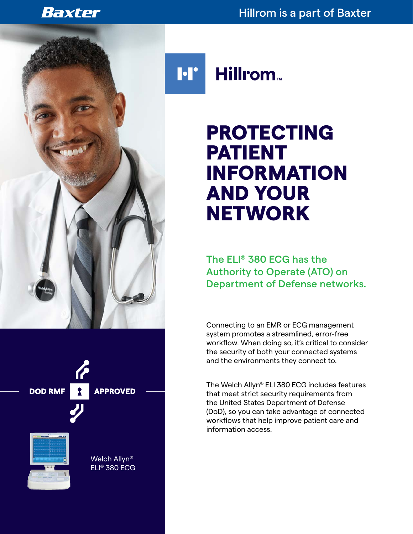### Baxter

#### Hillrom is a part of Baxter





Welch Allyn® ELI® 380 ECG Hillrom<sub>w</sub>

# PROTECTING PATIENT INFORMATION AND YOUR **NETWORK**

The ELI® 380 ECG has the Authority to Operate (ATO) on Department of Defense networks.

Connecting to an EMR or ECG management system promotes a streamlined, error-free workflow. When doing so, it's critical to consider the security of both your connected systems and the environments they connect to.

The Welch Allyn® ELI 380 ECG includes features that meet strict security requirements from the United States Department of Defense (DoD), so you can take advantage of connected workflows that help improve patient care and information access.